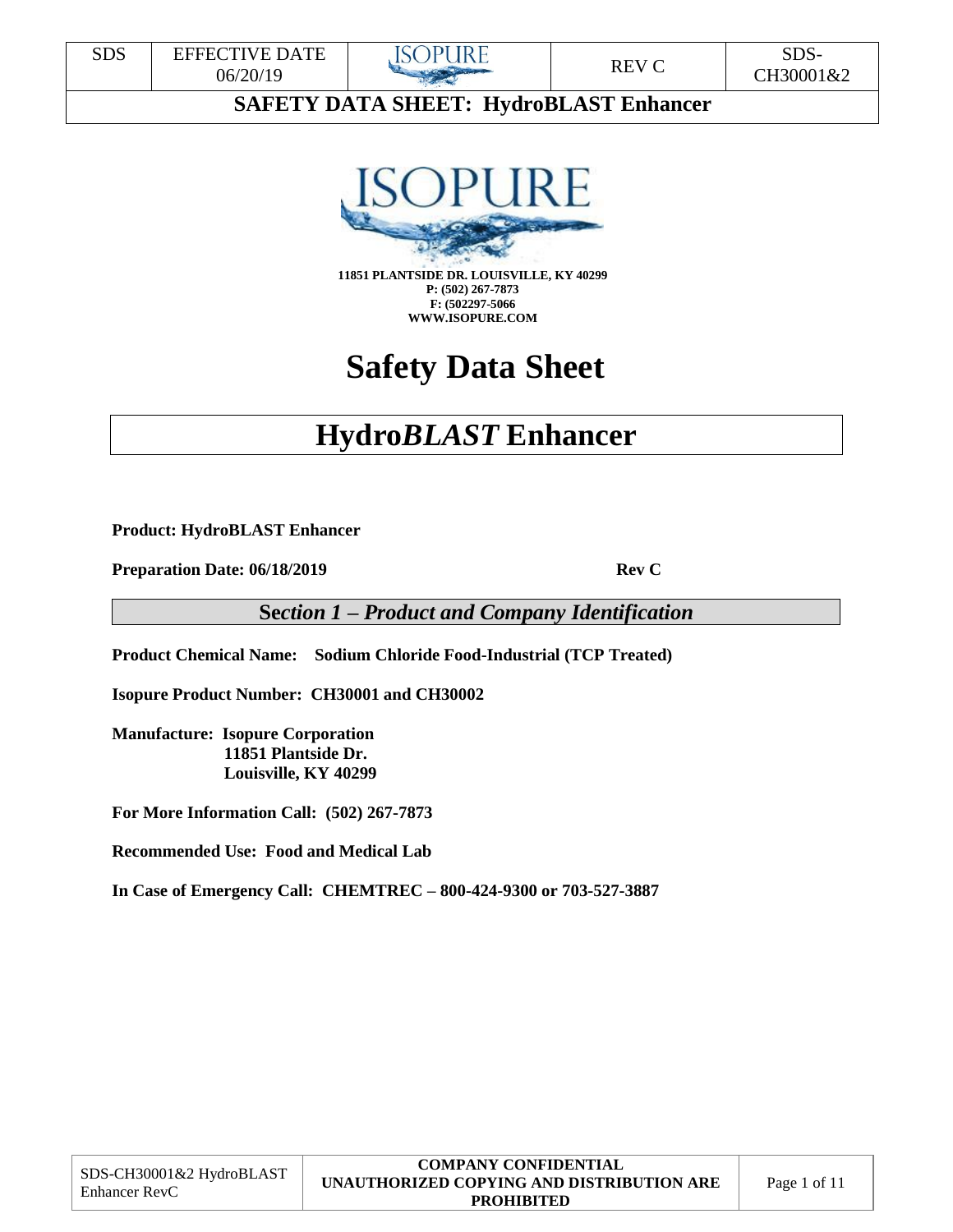



**P: (502) 267-7873 F: (502297-5066 WWW.ISOPURE.COM**

# **Safety Data Sheet**

# **Hydro***BLAST* **Enhancer**

**Product: HydroBLAST Enhancer** 

**Preparation Date: 06/18/2019 Rev C** 

**Se***ction 1 – Product and Company Identification*

**Product Chemical Name: Sodium Chloride Food-Industrial (TCP Treated)**

**Isopure Product Number: CH30001 and CH30002**

**Manufacture: Isopure Corporation 11851 Plantside Dr. Louisville, KY 40299**

**For More Information Call: (502) 267-7873**

**Recommended Use: Food and Medical Lab** 

**In Case of Emergency Call: CHEMTREC – 800-424-9300 or 703-527-3887** 

|                                           | <b>COMPANY CONFIDENTIAL</b>               |              |
|-------------------------------------------|-------------------------------------------|--------------|
| SDS-CH30001&2 HydroBLAST<br>Enhancer RevC | UNAUTHORIZED COPYING AND DISTRIBUTION ARE | Page 1 of 11 |
|                                           | <b>PROHIBITED</b>                         |              |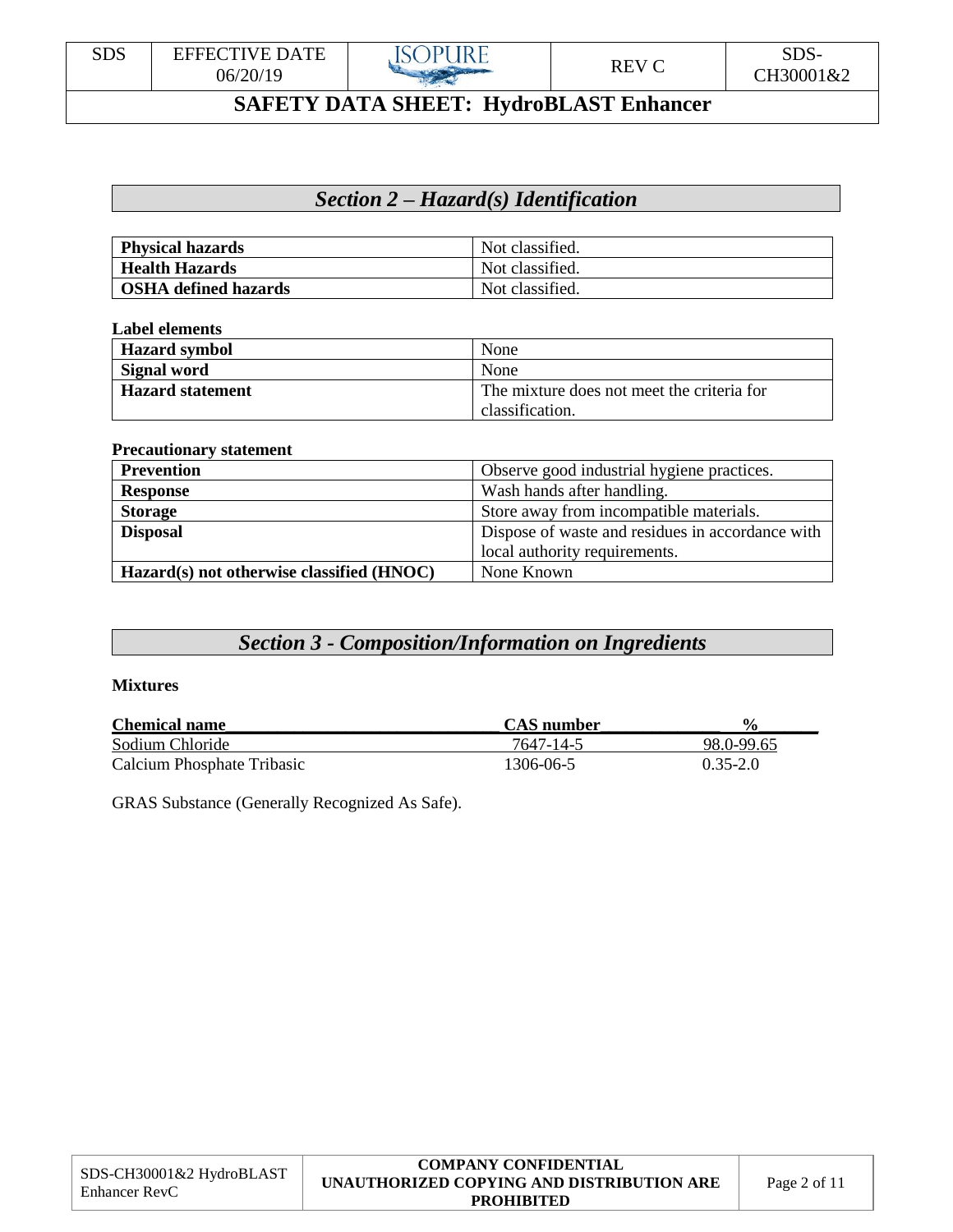

### *Section 2 – Hazard(s) Identification*

| <b>Physical hazards</b>     | Not classified. |
|-----------------------------|-----------------|
| <b>Health Hazards</b>       | Not classified. |
| <b>OSHA</b> defined hazards | Not classified. |

#### **Label elements**

| <b>Hazard</b> symbol    | None                                       |
|-------------------------|--------------------------------------------|
| Signal word             | None                                       |
| <b>Hazard statement</b> | The mixture does not meet the criteria for |
|                         | classification.                            |

#### **Precautionary statement**

| <b>Prevention</b>                         | Observe good industrial hygiene practices.       |
|-------------------------------------------|--------------------------------------------------|
| <b>Response</b>                           | Wash hands after handling.                       |
| <b>Storage</b>                            | Store away from incompatible materials.          |
| <b>Disposal</b>                           | Dispose of waste and residues in accordance with |
|                                           | local authority requirements.                    |
| Hazard(s) not otherwise classified (HNOC) | None Known                                       |

# *Section 3 - Composition/Information on Ingredients*

#### **Mixtures**

| <b>Chemical name</b>       | <b>CAS</b> number | $\frac{6}{9}$ |
|----------------------------|-------------------|---------------|
| Sodium Chloride            | 7647-14-5         | 98.0-99.65    |
| Calcium Phosphate Tribasic | 1306-06-5         | $0.35 - 2.0$  |

GRAS Substance (Generally Recognized As Safe).

|                                                  | <b>COMPANY CONFIDENTIAL</b>               |             |
|--------------------------------------------------|-------------------------------------------|-------------|
| SDS-CH30001&2 HydroBLAST<br><b>Enhancer RevC</b> | UNAUTHORIZED COPYING AND DISTRIBUTION ARE | Page 2 of 1 |
|                                                  | <b>PROHIBITED</b>                         |             |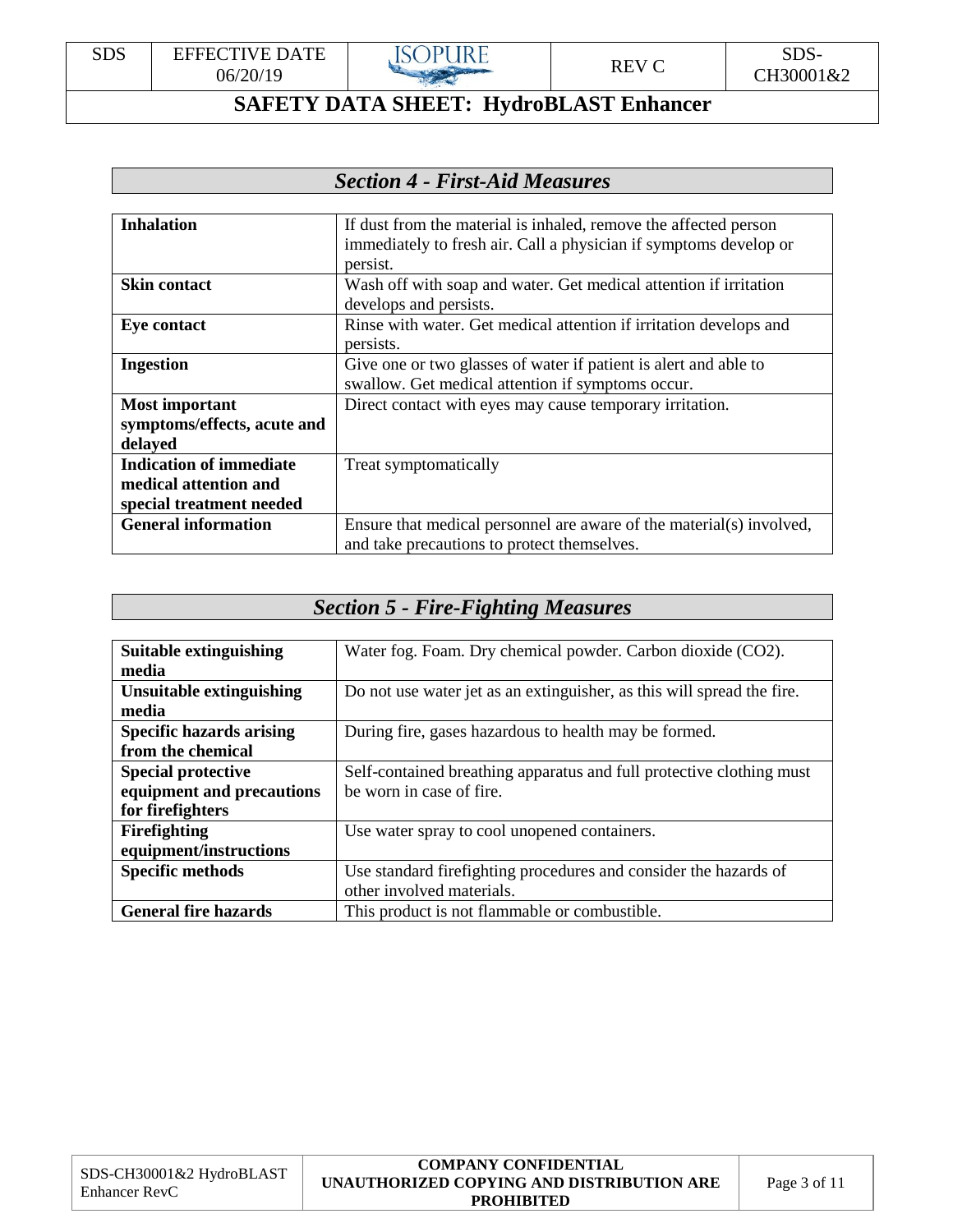

### *Section 4 - First-Aid Measures*

| <b>Inhalation</b>              | If dust from the material is inhaled, remove the affected person<br>immediately to fresh air. Call a physician if symptoms develop or |
|--------------------------------|---------------------------------------------------------------------------------------------------------------------------------------|
|                                | persist.                                                                                                                              |
| <b>Skin contact</b>            | Wash off with soap and water. Get medical attention if irritation                                                                     |
|                                | develops and persists.                                                                                                                |
| <b>Eye contact</b>             | Rinse with water. Get medical attention if irritation develops and                                                                    |
|                                | persists.                                                                                                                             |
| <b>Ingestion</b>               | Give one or two glasses of water if patient is alert and able to                                                                      |
|                                | swallow. Get medical attention if symptoms occur.                                                                                     |
| <b>Most important</b>          | Direct contact with eyes may cause temporary irritation.                                                                              |
| symptoms/effects, acute and    |                                                                                                                                       |
| delayed                        |                                                                                                                                       |
| <b>Indication of immediate</b> | Treat symptomatically                                                                                                                 |
| medical attention and          |                                                                                                                                       |
| special treatment needed       |                                                                                                                                       |
| <b>General information</b>     | Ensure that medical personnel are aware of the material(s) involved,                                                                  |
|                                | and take precautions to protect themselves.                                                                                           |

# *Section 5 - Fire-Fighting Measures*

| <b>Suitable extinguishing</b>   | Water fog. Foam. Dry chemical powder. Carbon dioxide (CO2).            |
|---------------------------------|------------------------------------------------------------------------|
| media                           |                                                                        |
| Unsuitable extinguishing        | Do not use water jet as an extinguisher, as this will spread the fire. |
| media                           |                                                                        |
| <b>Specific hazards arising</b> | During fire, gases hazardous to health may be formed.                  |
| from the chemical               |                                                                        |
| <b>Special protective</b>       | Self-contained breathing apparatus and full protective clothing must   |
| equipment and precautions       | be worn in case of fire.                                               |
| for firefighters                |                                                                        |
| Firefighting                    | Use water spray to cool unopened containers.                           |
| equipment/instructions          |                                                                        |
| <b>Specific methods</b>         | Use standard firefighting procedures and consider the hazards of       |
|                                 | other involved materials.                                              |
| <b>General fire hazards</b>     | This product is not flammable or combustible.                          |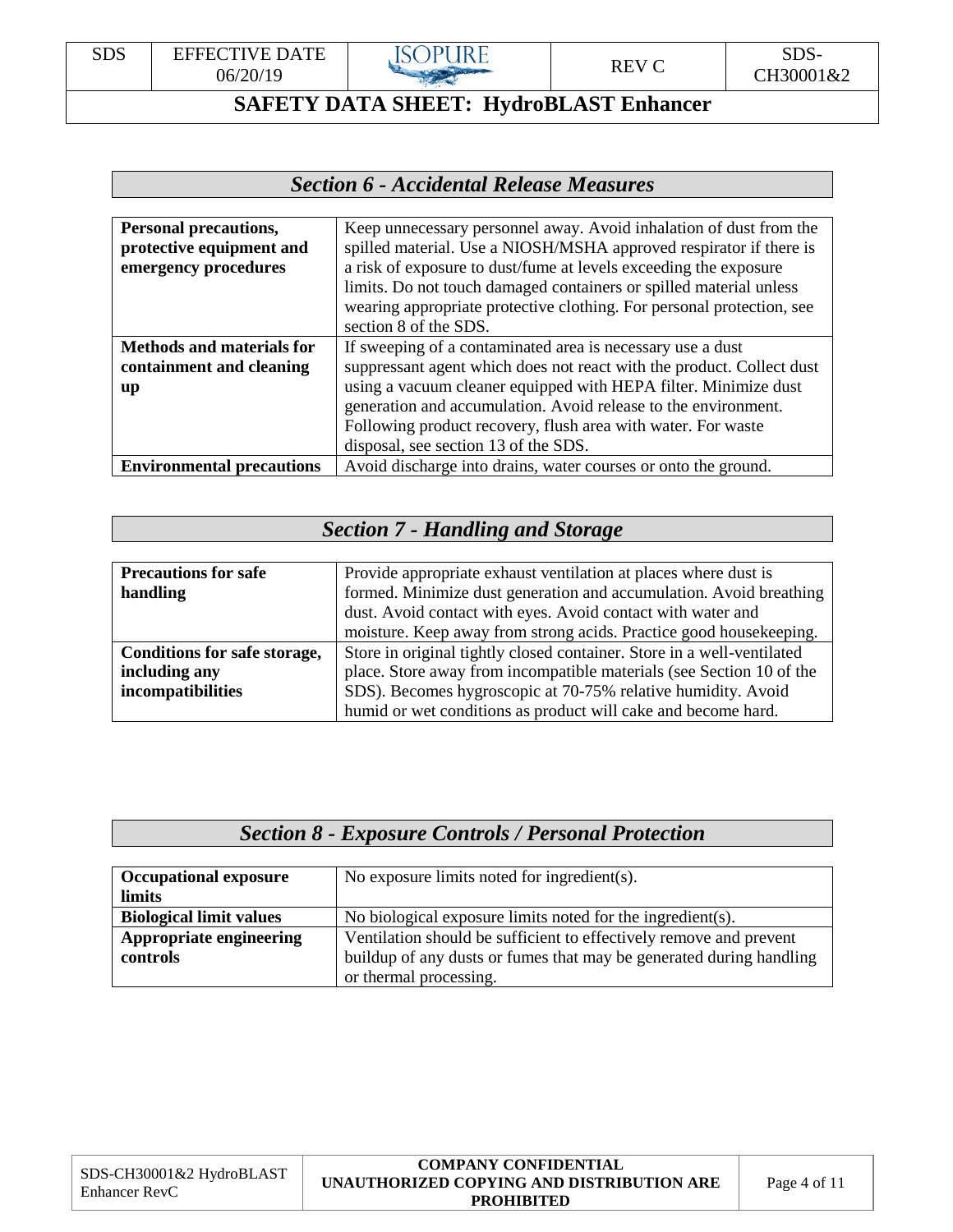

# *Section 6 - Accidental Release Measures*

| Personal precautions,            | Keep unnecessary personnel away. Avoid inhalation of dust from the    |
|----------------------------------|-----------------------------------------------------------------------|
| protective equipment and         | spilled material. Use a NIOSH/MSHA approved respirator if there is    |
| emergency procedures             | a risk of exposure to dust/fume at levels exceeding the exposure      |
|                                  | limits. Do not touch damaged containers or spilled material unless    |
|                                  | wearing appropriate protective clothing. For personal protection, see |
|                                  | section 8 of the SDS.                                                 |
| <b>Methods and materials for</b> | If sweeping of a contaminated area is necessary use a dust            |
| containment and cleaning         | suppressant agent which does not react with the product. Collect dust |
| up                               | using a vacuum cleaner equipped with HEPA filter. Minimize dust       |
|                                  | generation and accumulation. Avoid release to the environment.        |
|                                  | Following product recovery, flush area with water. For waste          |
|                                  | disposal, see section 13 of the SDS.                                  |
| <b>Environmental precautions</b> | Avoid discharge into drains, water courses or onto the ground.        |

### *Section 7 - Handling and Storage*

| <b>Precautions for safe</b>  | Provide appropriate exhaust ventilation at places where dust is        |
|------------------------------|------------------------------------------------------------------------|
| handling                     | formed. Minimize dust generation and accumulation. Avoid breathing     |
|                              | dust. Avoid contact with eyes. Avoid contact with water and            |
|                              | moisture. Keep away from strong acids. Practice good housekeeping.     |
| Conditions for safe storage, | Store in original tightly closed container. Store in a well-ventilated |
| including any                | place. Store away from incompatible materials (see Section 10 of the   |
| incompatibilities            | SDS). Becomes hygroscopic at 70-75% relative humidity. Avoid           |
|                              | humid or wet conditions as product will cake and become hard.          |

#### *Section 8 - Exposure Controls / Personal Protection*

| <b>Occupational exposure</b>   | No exposure limits noted for ingredient(s).                         |
|--------------------------------|---------------------------------------------------------------------|
| limits                         |                                                                     |
| <b>Biological limit values</b> | No biological exposure limits noted for the ingredient(s).          |
| Appropriate engineering        | Ventilation should be sufficient to effectively remove and prevent  |
| controls                       | buildup of any dusts or fumes that may be generated during handling |
|                                | or thermal processing.                                              |

| SDS-CH30001&2 HydroBLAST |  |
|--------------------------|--|
| Enhancer RevC            |  |

#### **COMPANY CONFIDENTIAL UNAUTHORIZED COPYING AND DISTRIBUTION ARE PROHIBITED**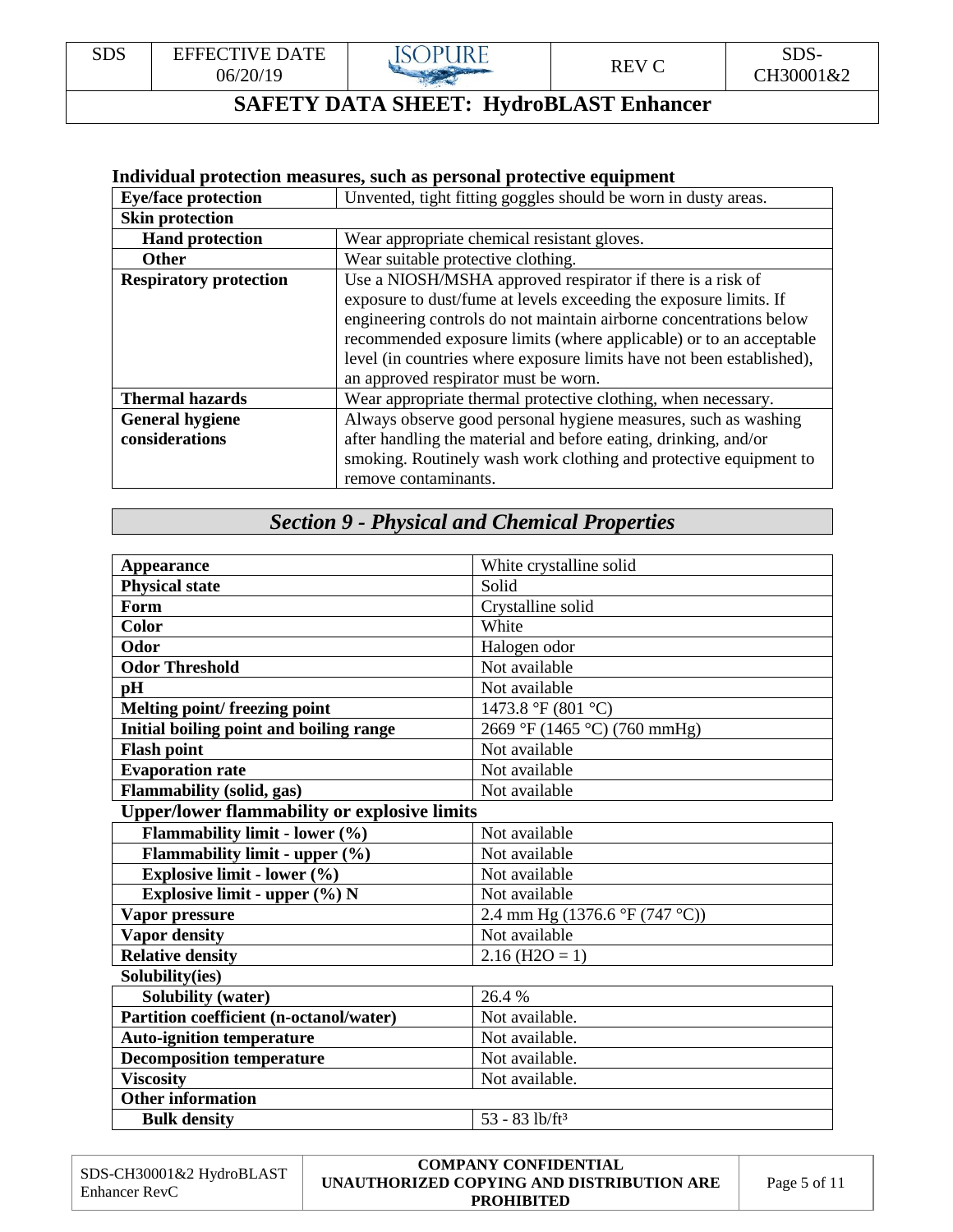#### **Individual protection measures, such as personal protective equipment**

| <b>Eye/face protection</b>    | Unvented, tight fitting goggles should be worn in dusty areas.        |
|-------------------------------|-----------------------------------------------------------------------|
| <b>Skin protection</b>        |                                                                       |
| <b>Hand protection</b>        | Wear appropriate chemical resistant gloves.                           |
| <b>Other</b>                  | Wear suitable protective clothing.                                    |
| <b>Respiratory protection</b> | Use a NIOSH/MSHA approved respirator if there is a risk of            |
|                               | exposure to dust/fume at levels exceeding the exposure limits. If     |
|                               | engineering controls do not maintain airborne concentrations below    |
|                               | recommended exposure limits (where applicable) or to an acceptable    |
|                               | level (in countries where exposure limits have not been established), |
|                               | an approved respirator must be worn.                                  |
| <b>Thermal hazards</b>        | Wear appropriate thermal protective clothing, when necessary.         |
| <b>General hygiene</b>        | Always observe good personal hygiene measures, such as washing        |
| considerations                | after handling the material and before eating, drinking, and/or       |
|                               | smoking. Routinely wash work clothing and protective equipment to     |
|                               | remove contaminants.                                                  |

# *Section 9 - Physical and Chemical Properties*

| <b>Appearance</b>                                   | White crystalline solid                        |
|-----------------------------------------------------|------------------------------------------------|
| <b>Physical state</b>                               | Solid                                          |
| Form                                                | Crystalline solid                              |
| <b>Color</b>                                        | White                                          |
| Odor                                                | Halogen odor                                   |
| <b>Odor Threshold</b>                               | Not available                                  |
| pH                                                  | Not available                                  |
| Melting point/freezing point                        | 1473.8 °F (801 °C)                             |
| Initial boiling point and boiling range             | 2669 °F (1465 °C) (760 mmHg)                   |
| <b>Flash point</b>                                  | Not available                                  |
| <b>Evaporation rate</b>                             | Not available                                  |
| <b>Flammability (solid, gas)</b>                    | Not available                                  |
| <b>Upper/lower flammability or explosive limits</b> |                                                |
| Flammability limit - lower (%)                      | Not available                                  |
| Flammability limit - upper (%)                      | Not available                                  |
| Explosive limit - lower (%)                         | Not available                                  |
| Explosive limit - upper $(\%)$ N                    | Not available                                  |
| Vapor pressure                                      | 2.4 mm Hg $(1376.6 \degree F (747 \degree C))$ |
| <b>Vapor density</b>                                | Not available                                  |
| <b>Relative density</b>                             | $2.16$ (H2O = 1)                               |
| Solubility(ies)                                     |                                                |
| <b>Solubility (water)</b>                           | 26.4 %                                         |
| <b>Partition coefficient (n-octanol/water)</b>      | Not available.                                 |
| <b>Auto-ignition temperature</b>                    | Not available.                                 |
| <b>Decomposition temperature</b>                    | Not available.                                 |
| <b>Viscosity</b>                                    | Not available.                                 |
| <b>Other information</b>                            |                                                |
| <b>Bulk density</b>                                 | $53 - 83$ lb/ft <sup>3</sup>                   |

| SDS-CH30001&2 HydroBLAST<br>Enhancer RevC | <b>COMPANY CONFIDENTIAL</b><br>UNAUTHORIZED COPYING AND DISTRIBUTION ARE<br><b>PROHIBITED</b> | Page 5 of 11 |
|-------------------------------------------|-----------------------------------------------------------------------------------------------|--------------|
|-------------------------------------------|-----------------------------------------------------------------------------------------------|--------------|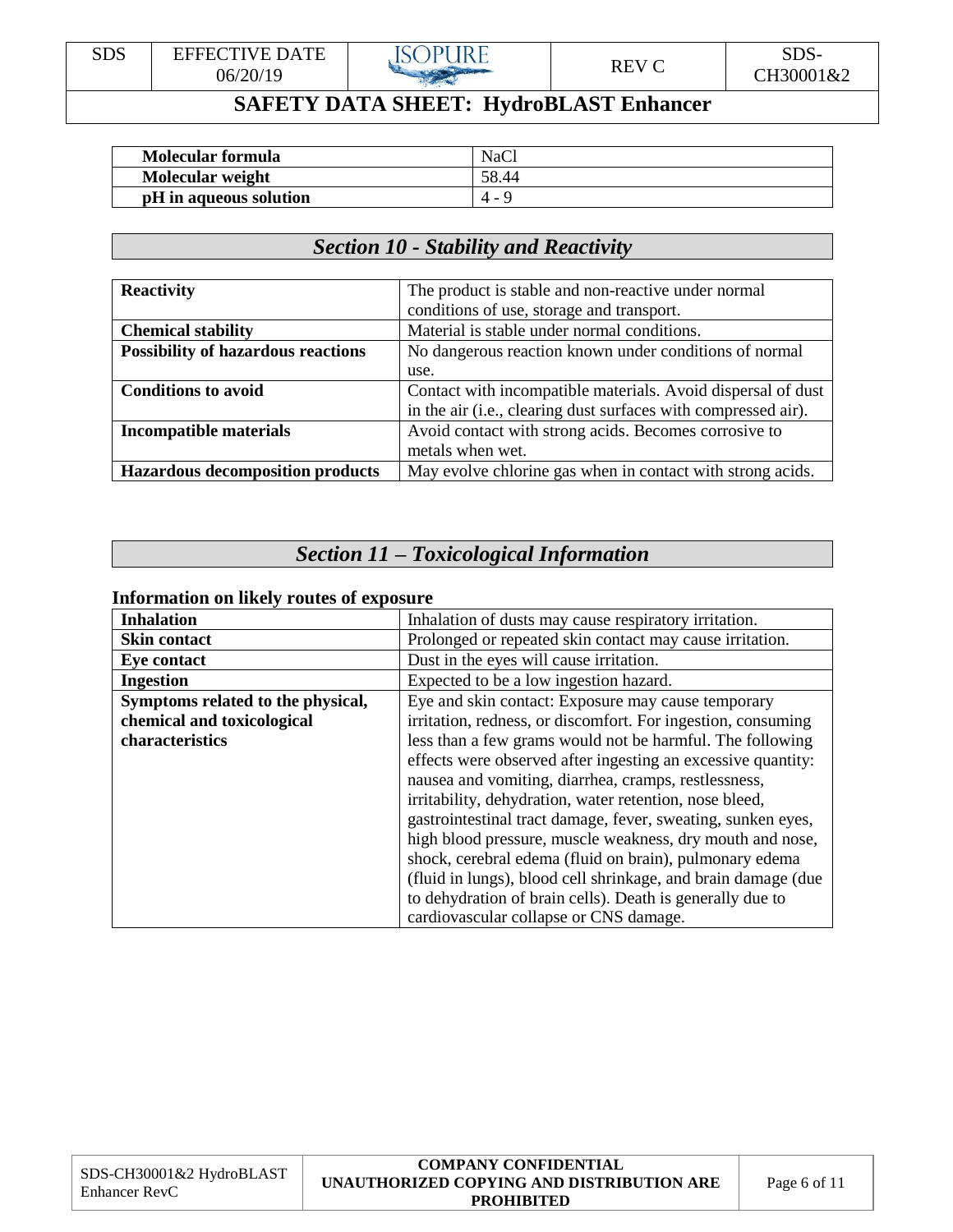| <b>SDS</b><br><b>CDC</b><br>\ TE<br>`A \<br>ннни<br>$V$ H<br>-כעע<br>$\sqrt{ }$<br>$\neg V$<br>06/20/19<br>CH30001&2<br>w<br>╰ |
|--------------------------------------------------------------------------------------------------------------------------------|
|--------------------------------------------------------------------------------------------------------------------------------|

| <b>Molecular formula</b> | <b>NaCl</b> |
|--------------------------|-------------|
| Molecular weight         | 58.44       |
| pH in aqueous solution   | 4 -         |

### *Section 10 - Stability and Reactivity*

| <b>Reactivity</b>                         | The product is stable and non-reactive under normal            |
|-------------------------------------------|----------------------------------------------------------------|
|                                           | conditions of use, storage and transport.                      |
| <b>Chemical stability</b>                 | Material is stable under normal conditions.                    |
| <b>Possibility of hazardous reactions</b> | No dangerous reaction known under conditions of normal         |
|                                           | use.                                                           |
| <b>Conditions to avoid</b>                | Contact with incompatible materials. Avoid dispersal of dust   |
|                                           | in the air (i.e., clearing dust surfaces with compressed air). |
| <b>Incompatible materials</b>             | Avoid contact with strong acids. Becomes corrosive to          |
|                                           | metals when wet.                                               |
| <b>Hazardous decomposition products</b>   | May evolve chlorine gas when in contact with strong acids.     |

# *Section 11 – Toxicological Information*

#### **Information on likely routes of exposure**

| <b>Inhalation</b>                 | Inhalation of dusts may cause respiratory irritation.          |
|-----------------------------------|----------------------------------------------------------------|
| <b>Skin contact</b>               | Prolonged or repeated skin contact may cause irritation.       |
| <b>Eye contact</b>                | Dust in the eyes will cause irritation.                        |
| <b>Ingestion</b>                  | Expected to be a low ingestion hazard.                         |
| Symptoms related to the physical, | Eye and skin contact: Exposure may cause temporary             |
| chemical and toxicological        | irritation, redness, or discomfort. For ingestion, consuming   |
| characteristics                   | less than a few grams would not be harmful. The following      |
|                                   | effects were observed after ingesting an excessive quantity:   |
|                                   | nausea and vomiting, diarrhea, cramps, restlessness,           |
|                                   | irritability, dehydration, water retention, nose bleed,        |
|                                   | gastrointestinal tract damage, fever, sweating, sunken eyes,   |
|                                   | high blood pressure, muscle weakness, dry mouth and nose,      |
|                                   | shock, cerebral edema (fluid on brain), pulmonary edema        |
|                                   | (fluid in lungs), blood cell shrinkage, and brain damage (due) |
|                                   | to dehydration of brain cells). Death is generally due to      |
|                                   | cardiovascular collapse or CNS damage.                         |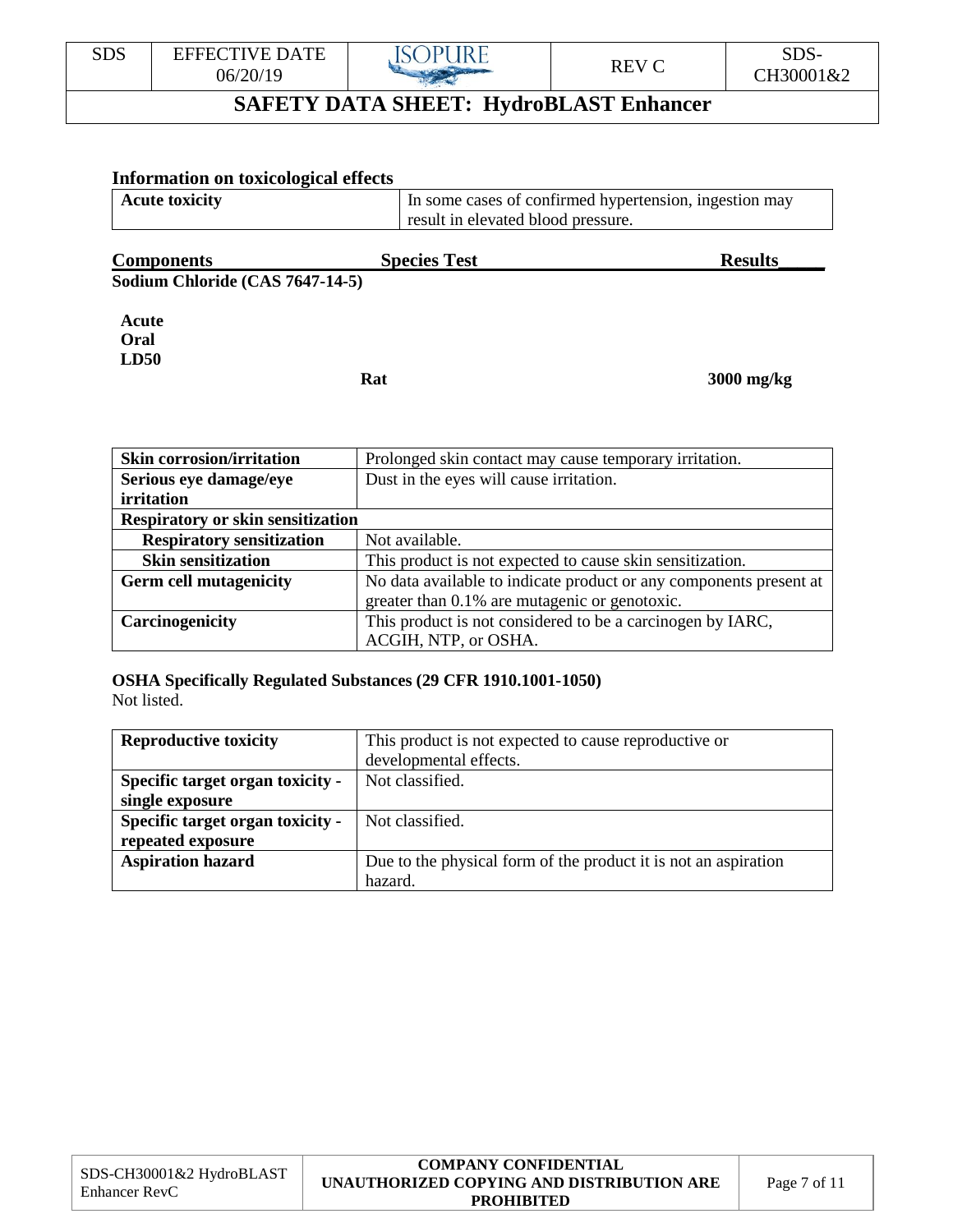

#### **Information on toxicological effects** Acute toxicity In some cases of confirmed hypertension, ingestion may result in elevated blood pressure. **Components** Species Test Results\_ **Sodium Chloride (CAS 7647-14-5) Acute Oral LD50 Rat 3000 mg/kg**

| <b>Skin corrosion/irritation</b>         | Prolonged skin contact may cause temporary irritation.             |
|------------------------------------------|--------------------------------------------------------------------|
| Serious eye damage/eye                   | Dust in the eyes will cause irritation.                            |
| <i>irritation</i>                        |                                                                    |
| <b>Respiratory or skin sensitization</b> |                                                                    |
| <b>Respiratory sensitization</b>         | Not available.                                                     |
| <b>Skin sensitization</b>                | This product is not expected to cause skin sensitization.          |
| <b>Germ cell mutagenicity</b>            | No data available to indicate product or any components present at |
|                                          | greater than 0.1% are mutagenic or genotoxic.                      |
| Carcinogenicity                          | This product is not considered to be a carcinogen by IARC,         |
|                                          | ACGIH, NTP, or OSHA.                                               |

#### **OSHA Specifically Regulated Substances (29 CFR 1910.1001-1050)**  Not listed.

| <b>Reproductive toxicity</b>     | This product is not expected to cause reproductive or           |
|----------------------------------|-----------------------------------------------------------------|
|                                  | developmental effects.                                          |
| Specific target organ toxicity - | Not classified.                                                 |
| single exposure                  |                                                                 |
| Specific target organ toxicity - | Not classified.                                                 |
| repeated exposure                |                                                                 |
| <b>Aspiration hazard</b>         | Due to the physical form of the product it is not an aspiration |
|                                  | hazard.                                                         |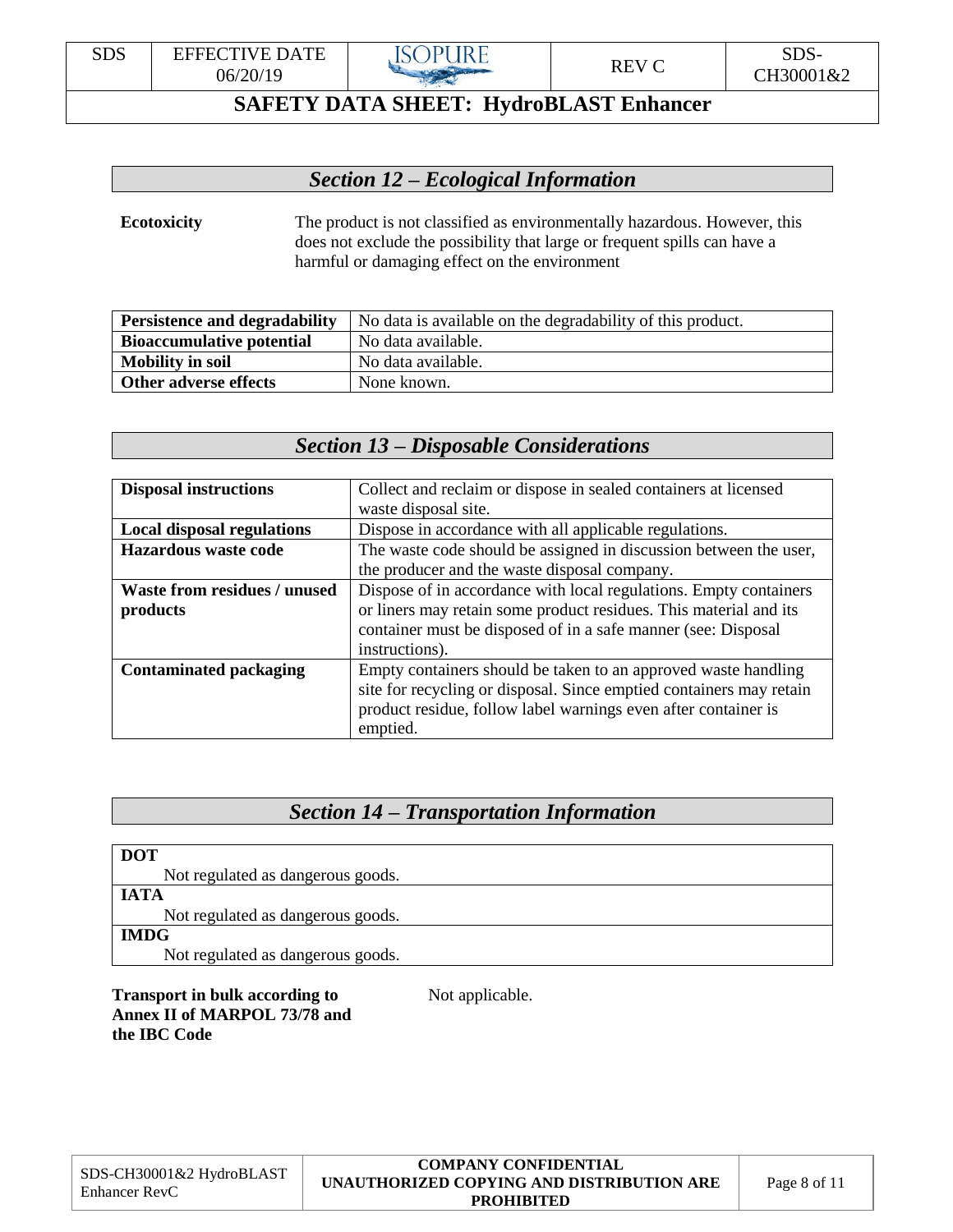

### *Section 12 – Ecological Information*

#### **Ecotoxicity** The product is not classified as environmentally hazardous. However, this does not exclude the possibility that large or frequent spills can have a harmful or damaging effect on the environment

| <b>Persistence and degradability</b> | No data is available on the degradability of this product. |
|--------------------------------------|------------------------------------------------------------|
| <b>Bioaccumulative potential</b>     | No data available.                                         |
| <b>Mobility in soil</b>              | No data available.                                         |
| Other adverse effects                | None known.                                                |

### *Section 13 – Disposable Considerations*

| <b>Disposal instructions</b>        | Collect and reclaim or dispose in sealed containers at licensed     |
|-------------------------------------|---------------------------------------------------------------------|
|                                     | waste disposal site.                                                |
| <b>Local disposal regulations</b>   | Dispose in accordance with all applicable regulations.              |
| <b>Hazardous waste code</b>         | The waste code should be assigned in discussion between the user,   |
|                                     | the producer and the waste disposal company.                        |
| <b>Waste from residues / unused</b> | Dispose of in accordance with local regulations. Empty containers   |
| products                            | or liners may retain some product residues. This material and its   |
|                                     | container must be disposed of in a safe manner (see: Disposal       |
|                                     | instructions).                                                      |
| <b>Contaminated packaging</b>       | Empty containers should be taken to an approved waste handling      |
|                                     | site for recycling or disposal. Since emptied containers may retain |
|                                     | product residue, follow label warnings even after container is      |
|                                     | emptied.                                                            |

## *Section 14 – Transportation Information*

| <b>DOT</b>                        |  |
|-----------------------------------|--|
| Not regulated as dangerous goods. |  |
| <b>IATA</b>                       |  |
| Not regulated as dangerous goods. |  |
| <b>IMDG</b>                       |  |
| Not regulated as dangerous goods. |  |

#### **Transport in bulk according to** Not applicable. **Annex II of MARPOL 73/78 and the IBC Code**

|                                           | <b>COMPANY CONFIDENTIAL</b>               |              |
|-------------------------------------------|-------------------------------------------|--------------|
| SDS-CH30001&2 HydroBLAST<br>Enhancer RevC | UNAUTHORIZED COPYING AND DISTRIBUTION ARE | Page 8 of 11 |
|                                           | <b>PROHIBITED</b>                         |              |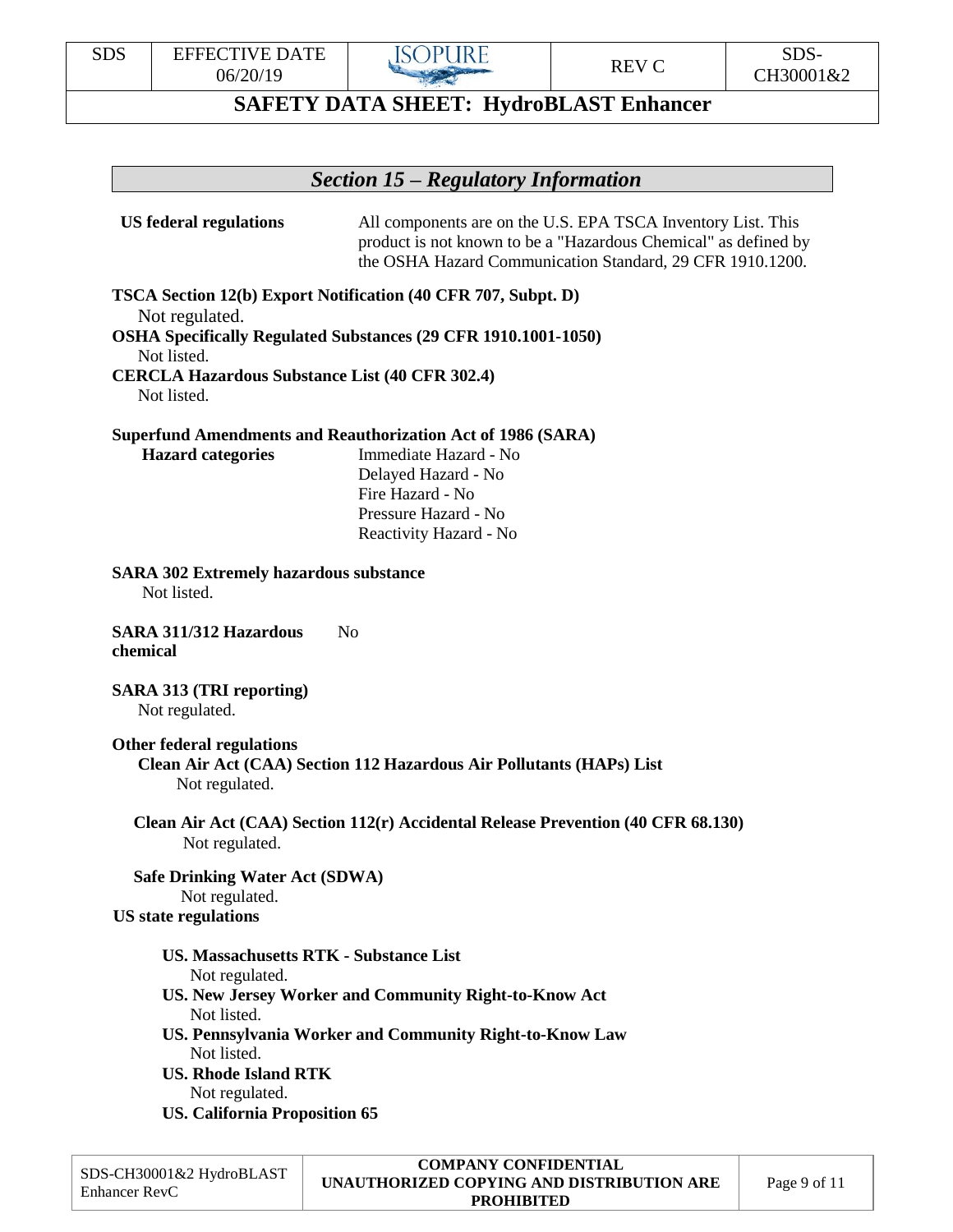

#### *Section 15 – Regulatory Information*

**US federal regulations** All components are on the U.S. EPA TSCA Inventory List. This product is not known to be a "Hazardous Chemical" as defined by the OSHA Hazard Communication Standard, 29 CFR 1910.1200.

**TSCA Section 12(b) Export Notification (40 CFR 707, Subpt. D)** Not regulated. **OSHA Specifically Regulated Substances (29 CFR 1910.1001-1050)** Not listed.

**CERCLA Hazardous Substance List (40 CFR 302.4)** Not listed.

**Superfund Amendments and Reauthorization Act of 1986 (SARA)**

 **Hazard categories** Immediate Hazard - No Delayed Hazard - No Fire Hazard - No Pressure Hazard - No Reactivity Hazard - No

**SARA 302 Extremely hazardous substance**

Not listed.

**SARA 311/312 Hazardous** No **chemical**

**SARA 313 (TRI reporting)** Not regulated.

**Other federal regulations Clean Air Act (CAA) Section 112 Hazardous Air Pollutants (HAPs) List** Not regulated.

 **Clean Air Act (CAA) Section 112(r) Accidental Release Prevention (40 CFR 68.130)** Not regulated.

 **Safe Drinking Water Act (SDWA)** Not regulated. **US state regulations**

**US. Massachusetts RTK - Substance List**

Not regulated.

- **US. New Jersey Worker and Community Right-to-Know Act** Not listed.
- **US. Pennsylvania Worker and Community Right-to-Know Law** Not listed.

**US. Rhode Island RTK** Not regulated.

**US. California Proposition 65**

| SDS-CH30001&2 HydroBLAST<br>Enhancer RevC | <b>COMPANY CONFIDENTIAL</b><br>UNAUTHORIZED COPYING AND DISTRIBUTION ARE<br><b>PROHIBITED</b> | Page 9 of 11 |
|-------------------------------------------|-----------------------------------------------------------------------------------------------|--------------|
|-------------------------------------------|-----------------------------------------------------------------------------------------------|--------------|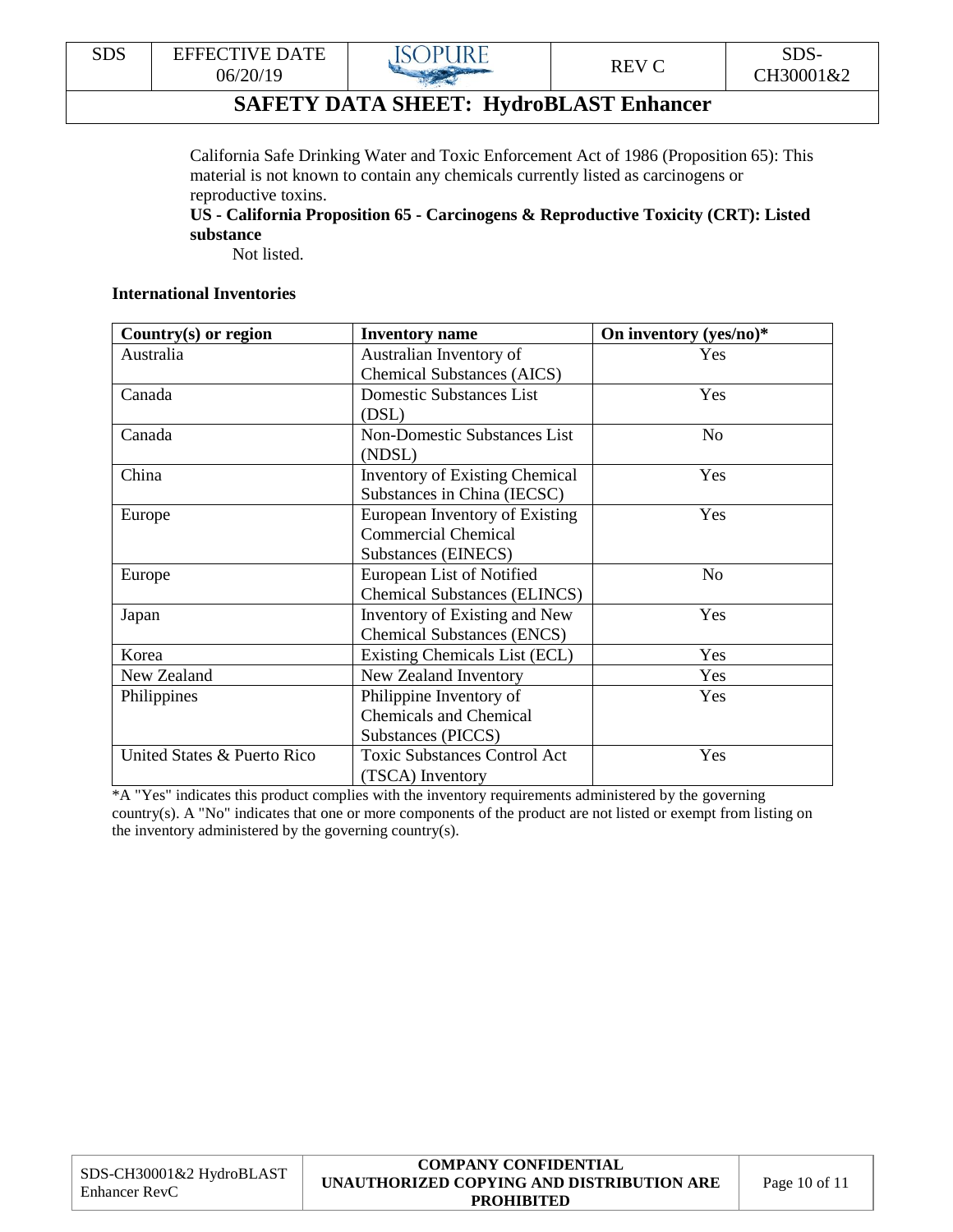

California Safe Drinking Water and Toxic Enforcement Act of 1986 (Proposition 65): This material is not known to contain any chemicals currently listed as carcinogens or reproductive toxins.

**US - California Proposition 65 - Carcinogens & Reproductive Toxicity (CRT): Listed substance**

Not listed.

#### **International Inventories**

| Country $(s)$ or region     | <b>Inventory name</b>                 | On inventory (yes/no)* |
|-----------------------------|---------------------------------------|------------------------|
| Australia                   | Australian Inventory of               | Yes                    |
|                             | <b>Chemical Substances (AICS)</b>     |                        |
| Canada                      | <b>Domestic Substances List</b>       | Yes                    |
|                             | (DSL)                                 |                        |
| Canada                      | <b>Non-Domestic Substances List</b>   | N <sub>o</sub>         |
|                             | (NDSL)                                |                        |
| China                       | <b>Inventory of Existing Chemical</b> | Yes                    |
|                             | Substances in China (IECSC)           |                        |
| Europe                      | European Inventory of Existing        | Yes                    |
|                             | <b>Commercial Chemical</b>            |                        |
|                             | Substances (EINECS)                   |                        |
| Europe                      | European List of Notified             | N <sub>o</sub>         |
|                             | <b>Chemical Substances (ELINCS)</b>   |                        |
| Japan                       | Inventory of Existing and New         | Yes                    |
|                             | <b>Chemical Substances (ENCS)</b>     |                        |
| Korea                       | Existing Chemicals List (ECL)         | Yes                    |
| New Zealand                 | New Zealand Inventory                 | Yes                    |
| Philippines                 | Philippine Inventory of               | Yes                    |
|                             | <b>Chemicals and Chemical</b>         |                        |
|                             | Substances (PICCS)                    |                        |
| United States & Puerto Rico | <b>Toxic Substances Control Act</b>   | Yes                    |
|                             | (TSCA) Inventory                      |                        |

\*A "Yes" indicates this product complies with the inventory requirements administered by the governing country(s). A "No" indicates that one or more components of the product are not listed or exempt from listing on the inventory administered by the governing country(s).

|                                           | <b>COMPANY CONFIDENTIAL</b>               |                   |
|-------------------------------------------|-------------------------------------------|-------------------|
| SDS-CH30001&2 HydroBLAST<br>Enhancer RevC | UNAUTHORIZED COPYING AND DISTRIBUTION ARE | Page $10$ of $11$ |
|                                           | <b>PROHIBITED</b>                         |                   |